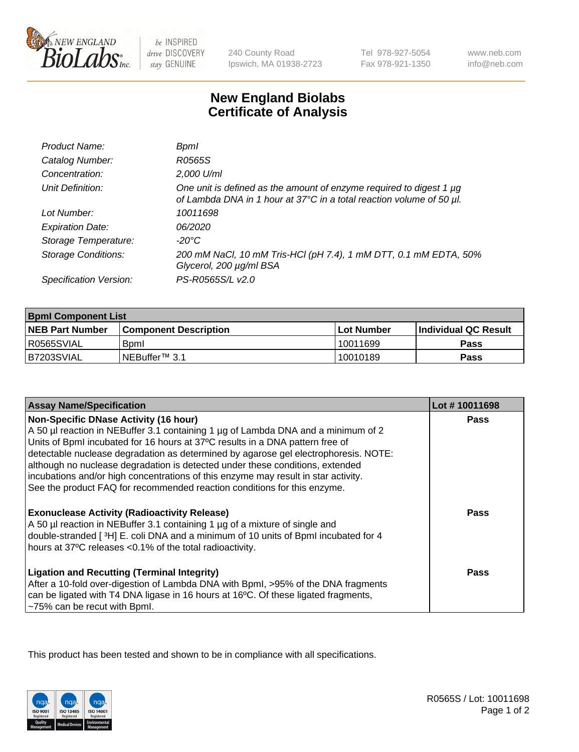

 $be$  INSPIRED drive DISCOVERY stay GENUINE

240 County Road Ipswich, MA 01938-2723 Tel 978-927-5054 Fax 978-921-1350

www.neb.com info@neb.com

## **New England Biolabs Certificate of Analysis**

| Product Name:              | <b>Bpml</b>                                                                                                                                 |
|----------------------------|---------------------------------------------------------------------------------------------------------------------------------------------|
| Catalog Number:            | R0565S                                                                                                                                      |
| Concentration:             | 2,000 U/ml                                                                                                                                  |
| Unit Definition:           | One unit is defined as the amount of enzyme required to digest 1 µg<br>of Lambda DNA in 1 hour at 37°C in a total reaction volume of 50 µl. |
| Lot Number:                | 10011698                                                                                                                                    |
| <b>Expiration Date:</b>    | 06/2020                                                                                                                                     |
| Storage Temperature:       | -20°C                                                                                                                                       |
| <b>Storage Conditions:</b> | 200 mM NaCl, 10 mM Tris-HCl (pH 7.4), 1 mM DTT, 0.1 mM EDTA, 50%<br>Glycerol, 200 µg/ml BSA                                                 |
| Specification Version:     | PS-R0565S/L v2.0                                                                                                                            |

| <b>Bpml Component List</b> |                              |             |                             |  |
|----------------------------|------------------------------|-------------|-----------------------------|--|
| <b>NEB Part Number</b>     | <b>Component Description</b> | ⊺Lot Number | <b>Individual QC Result</b> |  |
| R0565SVIAL                 | <b>B</b> <sub>pm</sub>       | 10011699    | <b>Pass</b>                 |  |
| B7203SVIAL                 | NEBuffer™ 3.1                | 10010189    | Pass                        |  |

| <b>Assay Name/Specification</b>                                                                                                                                                                                                                                                                                                                                                                                                                                                  | Lot #10011698 |
|----------------------------------------------------------------------------------------------------------------------------------------------------------------------------------------------------------------------------------------------------------------------------------------------------------------------------------------------------------------------------------------------------------------------------------------------------------------------------------|---------------|
| <b>Non-Specific DNase Activity (16 hour)</b><br>A 50 µl reaction in NEBuffer 3.1 containing 1 µg of Lambda DNA and a minimum of 2<br>Units of BpmI incubated for 16 hours at 37°C results in a DNA pattern free of<br>detectable nuclease degradation as determined by agarose gel electrophoresis. NOTE:<br>although no nuclease degradation is detected under these conditions, extended<br>incubations and/or high concentrations of this enzyme may result in star activity. | <b>Pass</b>   |
| See the product FAQ for recommended reaction conditions for this enzyme.<br><b>Exonuclease Activity (Radioactivity Release)</b><br>A 50 µl reaction in NEBuffer 3.1 containing 1 µg of a mixture of single and<br>double-stranded [3H] E. coli DNA and a minimum of 10 units of Bpml incubated for 4<br>hours at 37°C releases <0.1% of the total radioactivity.                                                                                                                 | <b>Pass</b>   |
| <b>Ligation and Recutting (Terminal Integrity)</b><br>After a 10-fold over-digestion of Lambda DNA with Bpml, >95% of the DNA fragments<br>can be ligated with T4 DNA ligase in 16 hours at 16°C. Of these ligated fragments,<br>-75% can be recut with Bpml.                                                                                                                                                                                                                    | Pass          |

This product has been tested and shown to be in compliance with all specifications.